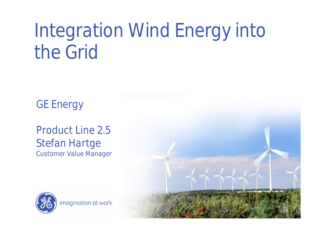# Integration Wind Energy into the Grid

GE Energy

Product Line 2.5 Stefan Hartge Customer Value Manager



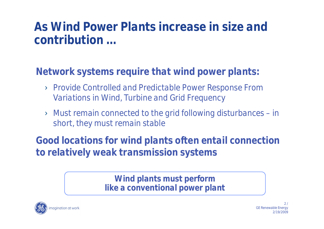#### **As Wind Power Plants increase in size and contribution …**

**Network systems require that wind power plants:**

- › Provide Controlled and Predictable Power Response From Variations in Wind, Turbine and Grid Frequency
- › Must remain connected to the grid following disturbances –in short, they must remain stable

**Good locations for wind plants often entail connection to relatively weak transmission systems**

> **Wind plants must perform like a conventional power plant**

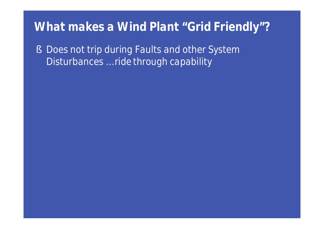§ Does not trip during Faults and other System Disturbances … *ride through capability*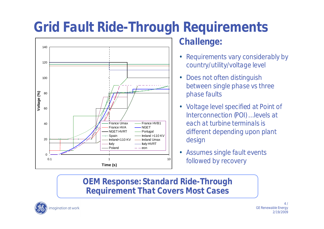## **Grid Fault Ride-Through Requirements**



#### **Challenge:**

- Requirements vary considerably by country/utility/voltage level
- Does not often distinguish between single phase vs three phase faults
- Voltage level specified at Point of Interconnection (POI) … levels at each at turbine terminals is different depending upon plant design
- Assumes single fault events followed by recovery

#### **OEM Response: Standard Ride-Through Requirement That Covers Most Cases**

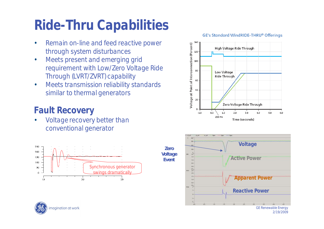### **Ride-Thru Capabilities**

- Remain on-line and feed reactive power through system disturbances
- Meets present and emerging grid requirement with Low/Zero Voltage Ride Through (LVRT/ZVRT) capability
- Meets transmission reliability standards similar to thermal generators

#### **Fault Recovery**

Voltage recovery better than conventional generator









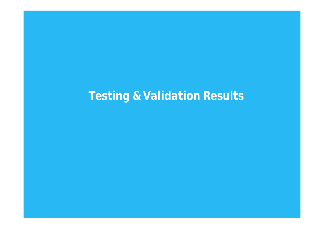### **Testing & Validation Results**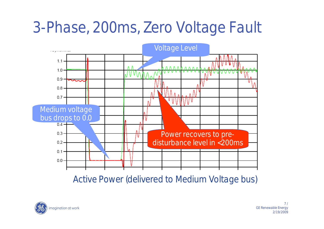## 3-Phase, 200ms, Zero Voltage Fault



Active Power (delivered to Medium Voltage bus)

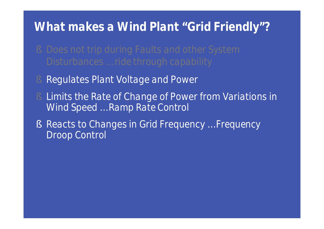- 
- § Regulates Plant Voltage and Power
- Limits the Rate of Change of Power from Variations in Wind Speed … *Ramp Rate Control*
- § Reacts to Changes in Grid Frequency … *Frequency Droop Control*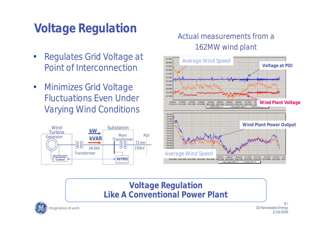### **Voltage Regulation**

- Regulates Grid Voltage at Point of Interconnection
- Minimizes Grid Voltage Fluctuations Even Under Varying Wind Conditions



#### Actual measurements from a 162MW wind plant



#### **Voltage Regulation Like A Conventional Power Plant**



9 / GE Renewable Energy 2/19/2009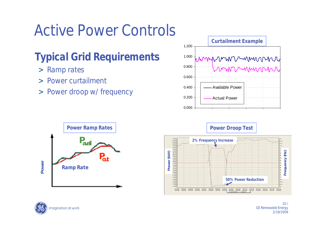## Active Power Controls

### **Typical Grid Requirements**

- > Ramp rates
- > Power curtailment
- > Power droop w/ frequency











 $10/$ GE Renewable Energy 2/19/2009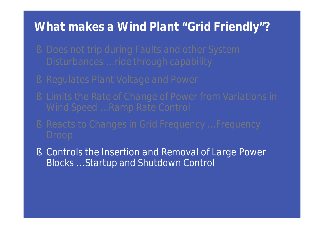- 
- 
- 
- 
- § Controls the Insertion and Removal of Large Power Blocks … *Startup and Shutdown Control*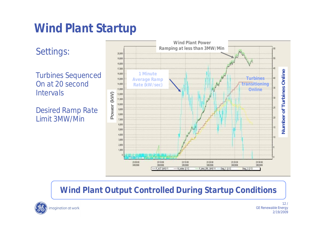### **Wind Plant Startup**

Settings:

Turbines Sequenced On at 20 second **Intervals** 

Desired Ramp Rate Limit 3MW/Min



#### **Wind Plant Output Controlled During Startup Conditions**

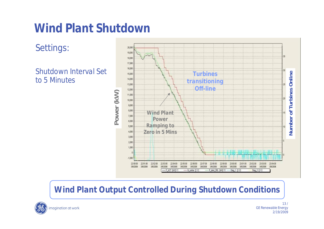### **Wind Plant Shutdown**

Settings:

Shutdown Interval Set to 5 Minutes



**Wind Plant Output Controlled During Shutdown Conditions**



13 / GE Renewable Energy 2/19/2009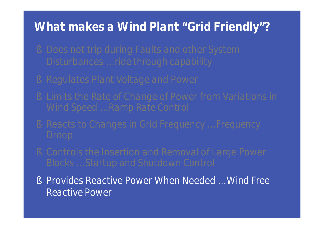- 
- 
- 
- 
- 
- § Provides Reactive Power When Needed … *Wind Free Reactive Power*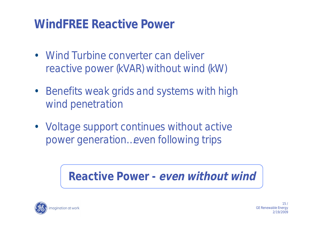### **WindFREE Reactive Power**

- Wind Turbine converter can deliver reactive power (kVAR) without wind (kW)
- Benefits weak grids and systems with high wind penetration
- Voltage support continues without active power generation…even following trips

**Reactive Power - even without wind**

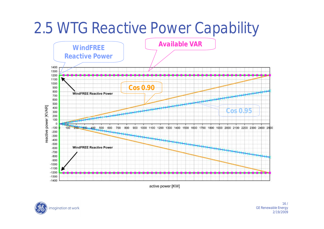## 2.5 WTG Reactive Power Capability



active power [KW]

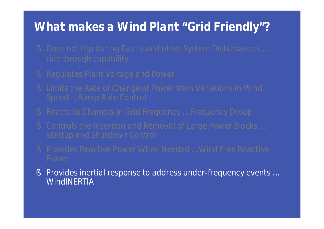- 
- 
- 
- 
- 
- 
- § Provides inertial response to address under-frequency events … **WindINERTIA**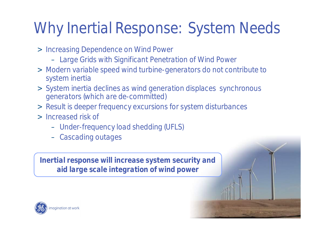## Why Inertial Response: System Needs

- > Increasing Dependence on Wind Power
	- Large Grids with Significant Penetration of Wind Power
- > Modern variable speed wind turbine-generators do not contribute to system inertia
- > System inertia declines as wind generation displaces synchronous generators (which are de-committed)

2/19/2009

- > Result is deeper frequency excursions for system disturbances
- > Increased risk of
	- Under-frequency load shedding (UFLS)
	- Cascading outages

**Inertial response will increase system security and aid large scale integration of wind power**

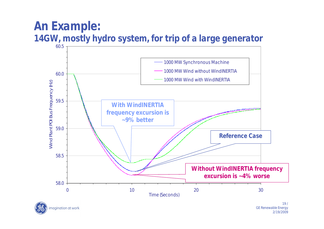#### **An Example: 14GW, mostly hydro system, for trip of a large generator**



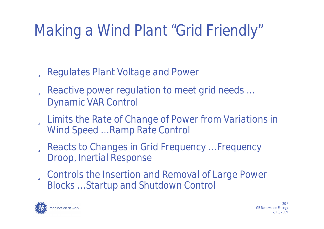## Making a Wind Plant "Grid Friendly"

ü Regulates Plant Voltage and Power

- ü Reactive power regulation to meet grid needs … *Dynamic VAR Control*
- ü Limits the Rate of Change of Power from Variations in Wind Speed … *Ramp Rate Control*
- ü Reacts to Changes in Grid Frequency … *Frequency Droop, Inertial Response*
- ü Controls the Insertion and Removal of Large Power Blocks … *Startup and Shutdown Control*